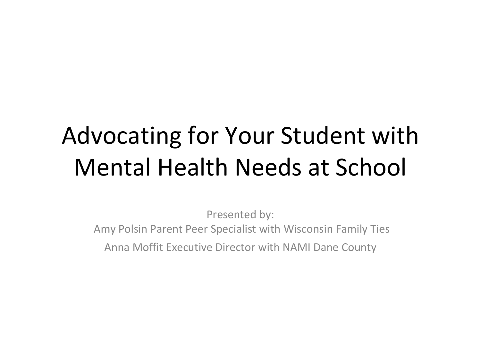#### Advocating for Your Student with Mental Health Needs at School

Presented by: Amy Polsin Parent Peer Specialist with Wisconsin Family Ties Anna Moffit Executive Director with NAMI Dane County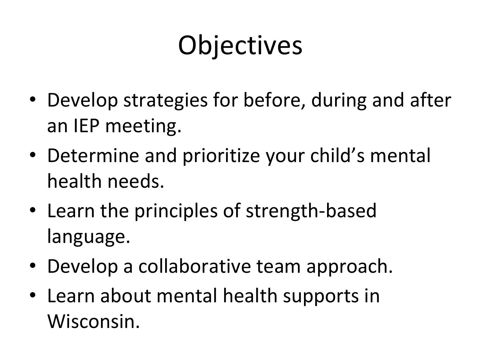## **Objectives**

- Develop strategies for before, during and after an IEP meeting.
- Determine and prioritize your child's mental health needs.
- Learn the principles of strength-based language.
- Develop a collaborative team approach.
- Learn about mental health supports in Wisconsin.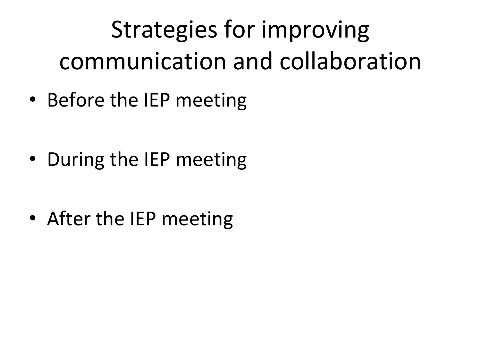## Strategies for improving communication and collaboration

- Before the IEP meeting
- During the IEP meeting
- After the IEP meeting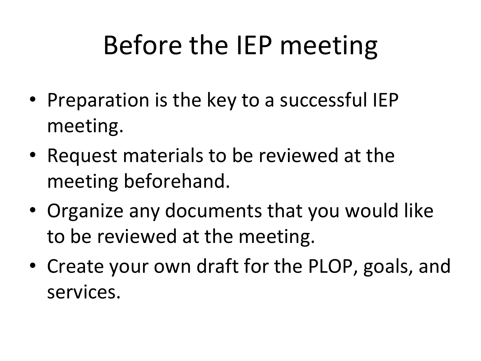## Before the IEP meeting

- Preparation is the key to a successful IEP meeting.
- Request materials to be reviewed at the meeting beforehand.
- Organize any documents that you would like to be reviewed at the meeting.
- Create your own draft for the PLOP, goals, and services.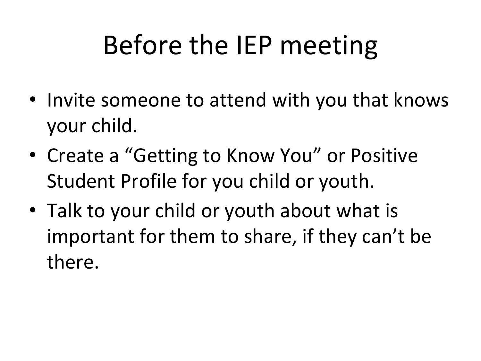## Before the IEP meeting

- Invite someone to attend with you that knows your child.
- Create a "Getting to Know You" or Positive Student Profile for you child or youth.
- Talk to your child or youth about what is important for them to share, if they can't be there.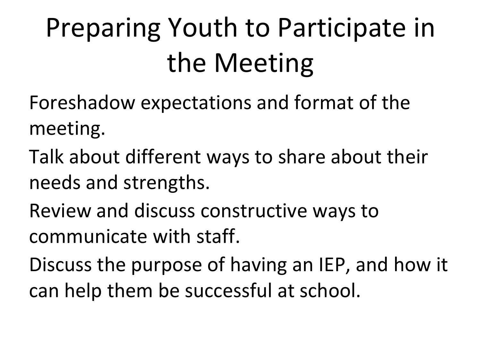# Preparing Youth to Participate in the Meeting

- Foreshadow expectations and format of the meeting.
- Talk about different ways to share about their needs and strengths.
- Review and discuss constructive ways to communicate with staff.
- Discuss the purpose of having an IEP, and how it can help them be successful at school.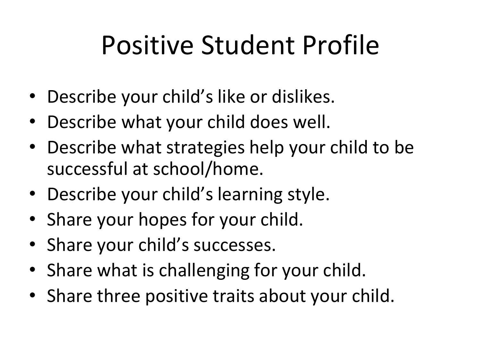## Positive Student Profile

- Describe your child's like or dislikes.
- Describe what your child does well.
- Describe what strategies help your child to be successful at school/home.
- Describe your child's learning style.
- Share your hopes for your child.
- Share your child's successes.
- Share what is challenging for your child.
- Share three positive traits about your child.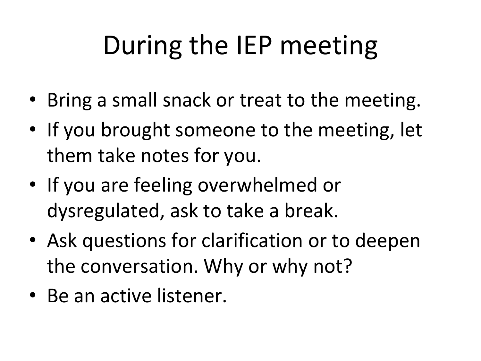## During the IEP meeting

- Bring a small snack or treat to the meeting.
- If you brought someone to the meeting, let them take notes for you.
- If you are feeling overwhelmed or dysregulated, ask to take a break.
- Ask questions for clarification or to deepen the conversation. Why or why not?
- Be an active listener.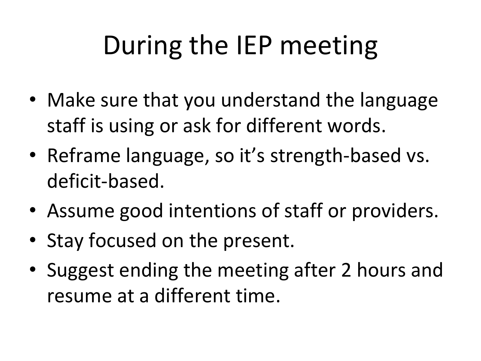## During the IEP meeting

- Make sure that you understand the language staff is using or ask for different words.
- Reframe language, so it's strength-based vs. deficit-based.
- Assume good intentions of staff or providers.
- Stay focused on the present.
- Suggest ending the meeting after 2 hours and resume at a different time.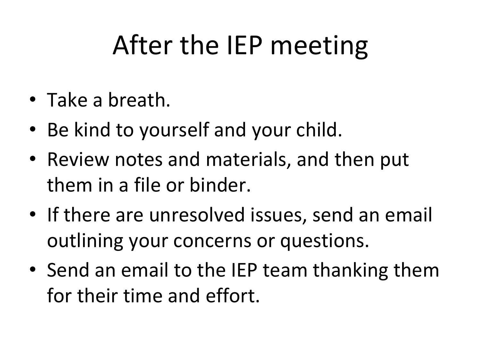## After the IEP meeting

- Take a breath.
- Be kind to yourself and your child.
- Review notes and materials, and then put them in a file or binder.
- If there are unresolved issues, send an email outlining your concerns or questions.
- Send an email to the IEP team thanking them for their time and effort.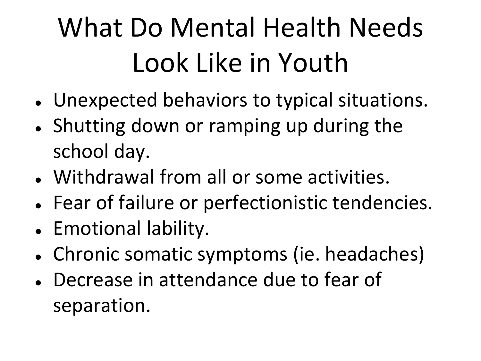# What Do Mental Health Needs Look Like in Youth

- Unexpected behaviors to typical situations.
- Shutting down or ramping up during the school day.
- Withdrawal from all or some activities.
- Fear of failure or perfectionistic tendencies.
- Emotional lability.
- Chronic somatic symptoms (ie. headaches)
- Decrease in attendance due to fear of separation.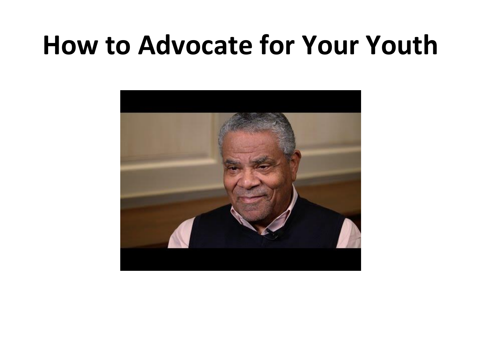#### **How to Advocate for Your Youth**

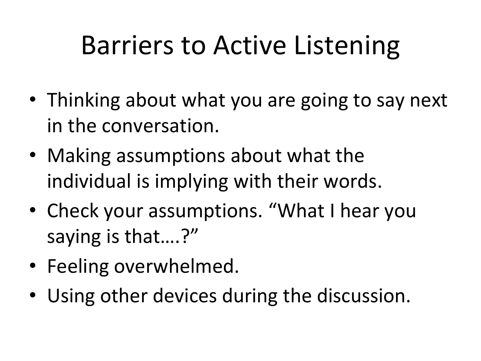## Barriers to Active Listening

- Thinking about what you are going to say next in the conversation.
- Making assumptions about what the individual is implying with their words.
- Check your assumptions. "What I hear you saying is that….?"
- Feeling overwhelmed.
- Using other devices during the discussion.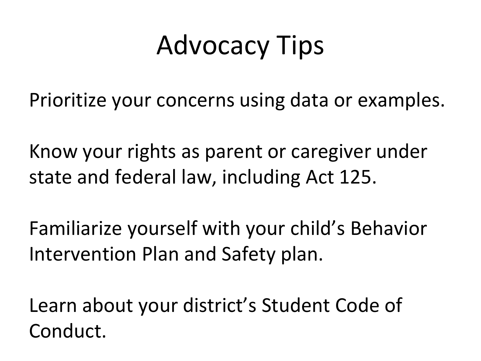## Advocacy Tips

Prioritize your concerns using data or examples.

Know your rights as parent or caregiver under state and federal law, including Act 125.

Familiarize yourself with your child's Behavior Intervention Plan and Safety plan.

Learn about your district's Student Code of Conduct.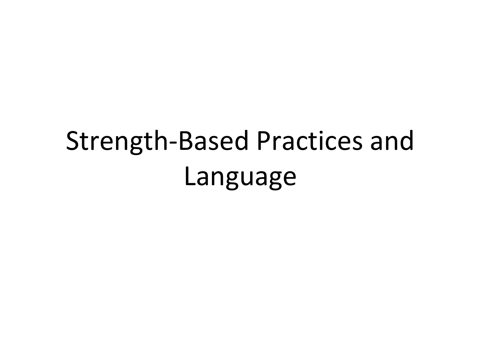## Strength-Based Practices and Language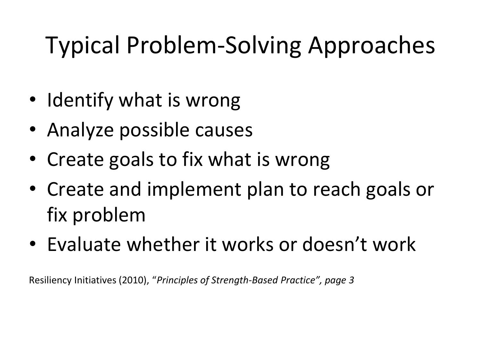#### Typical Problem-Solving Approaches

- Identify what is wrong
- Analyze possible causes
- Create goals to fix what is wrong
- Create and implement plan to reach goals or fix problem
- Evaluate whether it works or doesn't work

Resiliency Initiatives (2010), "*Principles of Strength-Based Practice", page 3*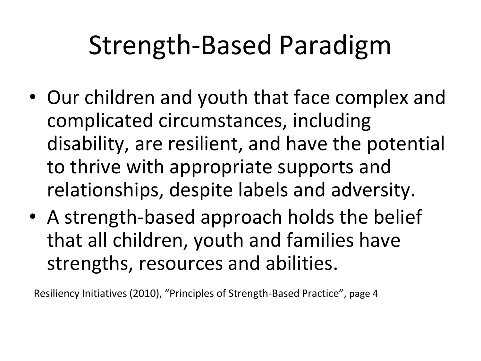## Strength-Based Paradigm

- Our children and youth that face complex and complicated circumstances, including disability, are resilient, and have the potential to thrive with appropriate supports and relationships, despite labels and adversity.
- A strength-based approach holds the belief that all children, youth and families have strengths, resources and abilities.

Resiliency Initiatives (2010), "Principles of Strength-Based Practice", page 4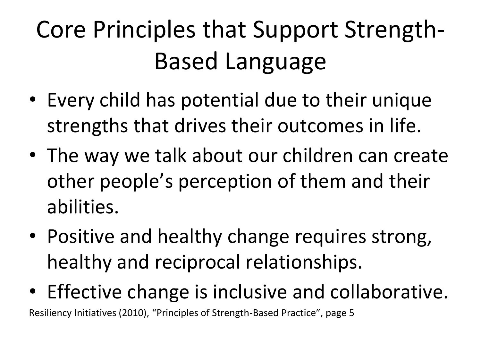## Core Principles that Support Strength-Based Language

- Every child has potential due to their unique strengths that drives their outcomes in life.
- The way we talk about our children can create other people's perception of them and their abilities.
- Positive and healthy change requires strong, healthy and reciprocal relationships.
- Effective change is inclusive and collaborative.

Resiliency Initiatives (2010), "Principles of Strength-Based Practice", page 5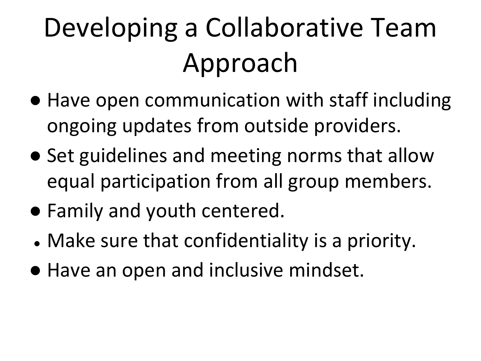# Developing a Collaborative Team Approach

- Have open communication with staff including ongoing updates from outside providers.
- Set guidelines and meeting norms that allow equal participation from all group members.
- Family and youth centered.
- Make sure that confidentiality is a priority.
- Have an open and inclusive mindset.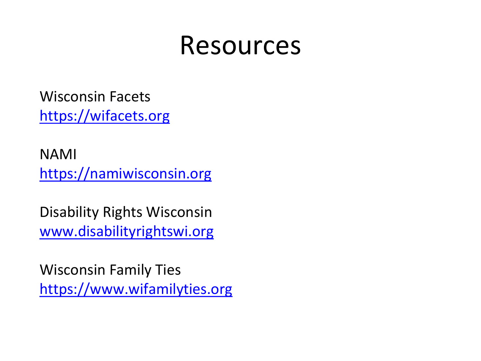#### Resources

Wisconsin Facets [https://wifacets.org](https://wifacets.org/)

NAMI [https://namiwisconsin.org](https://namiwisconsin.org/)

Disability Rights Wisconsin [www.disabilityrightswi.org](http://www.disabilityrightswi.org/)

Wisconsin Family Ties [https://www.wifamilyties.org](https://www.wifamilyties.org/)